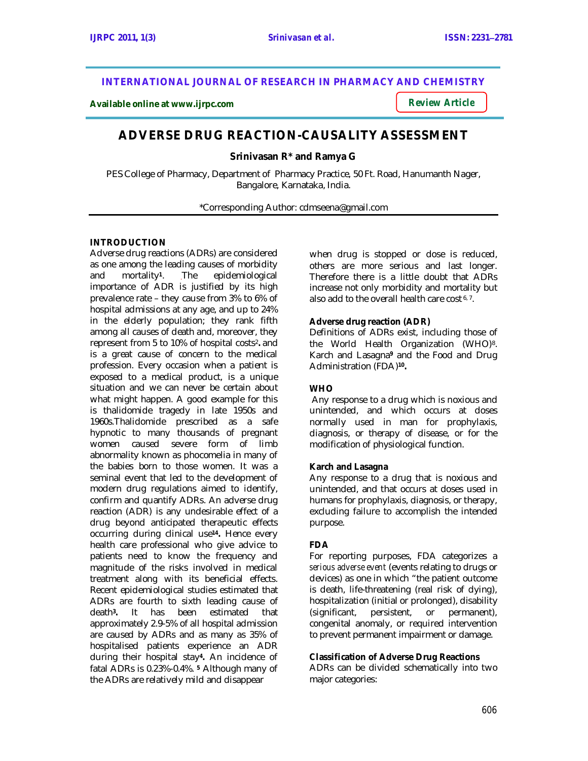# **INTERNATIONAL JOURNAL OF RESEARCH IN PHARMACY AND CHEMISTRY**

**Available online at www.ijrpc.com**

*Review Article*

# **ADVERSE DRUG REACTION-CAUSALITY ASSESSMENT**

**Srinivasan R\* and Ramya G**

PES College of Pharmacy, Department of Pharmacy Practice, 50 Ft. Road, Hanumanth Nager, Bangalore, Karnataka, India.

\*Corresponding Author: cdmseena@gmail.com

## **INTRODUCTION**

Adverse drug reactions (ADRs) are considered as one among the leading causes of morbidity and mortality**<sup>1</sup>** The epidemiological importance of ADR is justified by its high prevalence rate – they cause from 3% to 6% of hospital admissions at any age, and up to 24% in the elderly population; they rank fifth among all causes of death and, moreover, they represent from 5 to 10% of hospital costs2**.** and is a great cause of concern to the medical profession. Every occasion when a patient is exposed to a medical product, is a unique situation and we can never be certain about what might happen. A good example for this is thalidomide tragedy in late 1950s and 1960s.Thalidomide prescribed as a safe hypnotic to many thousands of pregnant women caused severe form of limb abnormality known as phocomelia in many of the babies born to those women. It was a seminal event that led to the development of modern drug regulations aimed to identify, confirm and quantify ADRs. An adverse drug reaction (ADR) is any undesirable effect of a drug beyond anticipated therapeutic effects occurring during clinical use**14.** Hence every health care professional who give advice to patients need to know the frequency and magnitude of the risks involved in medical treatment along with its beneficial effects. Recent epidemiological studies estimated that ADRs are fourth to sixth leading cause of<br>death<sup>3</sup>. It has been estimated that death**<sup>3</sup> .** estimated approximately 2.9-5% of all hospital admission are caused by ADRs and as many as 35% of hospitalised patients experience an ADR during their hospital stay**4.** An incidence of fatal ADRs is 0.23%-0.4%. **<sup>5</sup>** Although many of the ADRs are relatively mild and disappear

when drug is stopped or dose is reduced, others are more serious and last longer. Therefore there is a little doubt that ADRs increase not only morbidity and mortality but also add to the overall health care cost<sup>6,7</sup>.

### **Adverse drug reaction (ADR)**

Definitions of ADRs exist, including those of the World Health Organization (WHO)<sup>8</sup>. Karch and Lasagna**<sup>9</sup>** and the Food and Drug Administration (FDA)**<sup>10</sup> .**

## **WHO**

Any response to a drug which is noxious and unintended, and which occurs at doses normally used in man for prophylaxis, diagnosis, or therapy of disease, or for the modification of physiological function.

## **Karch and Lasagna**

Any response to a drug that is noxious and unintended, and that occurs at doses used in humans for prophylaxis, diagnosis, or therapy, excluding failure to accomplish the intended purpose.

## **FDA**

For reporting purposes, FDA categorizes a *serious adverse event* (events relating to drugs or devices) as one in which "the patient outcome is death, life-threatening (real risk of dying), hospitalization (initial or prolonged), disability (significant, persistent, or permanent), congenital anomaly, or required intervention to prevent permanent impairment or damage.

## **Classification of Adverse Drug Reactions**

ADRs can be divided schematically into two major categories: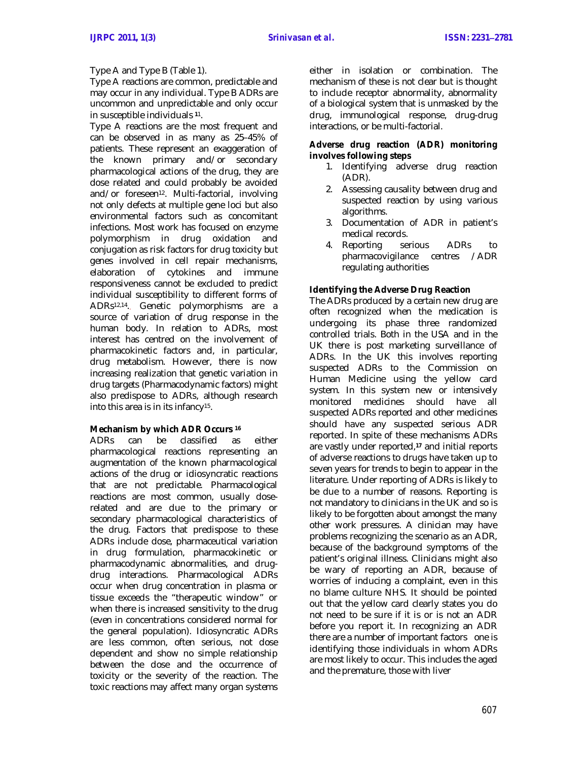## Type A and Type B (Table 1).

Type A reactions are common, predictable and may occur in any individual. Type B ADRs are uncommon and unpredictable and only occur in susceptible individuals **<sup>1</sup>**1.

Type A reactions are the most frequent and can be observed in as many as 25–45% of patients. These represent an exaggeration of the known primary and/or secondary pharmacological actions of the drug, they are dose related and could probably be avoided and/or foreseen<sup>12</sup>. Multi-factorial, involving not only defects at multiple gene loci but also environmental factors such as concomitant infections. Most work has focused on enzyme polymorphism in drug oxidation and conjugation as risk factors for drug toxicity but genes involved in cell repair mechanisms, elaboration of cytokines and immune responsiveness cannot be excluded to predict individual susceptibility to different forms of ADRs12,14.. Genetic polymorphisms are a source of variation of drug response in the human body. In relation to ADRs, most interest has centred on the involvement of pharmacokinetic factors and, in particular, drug metabolism. However, there is now increasing realization that genetic variation in drug targets (Pharmacodynamic factors) might also predispose to ADRs, although research into this area is in its infancy<sup>15</sup> .

## **Mechanism by which ADR Occurs <sup>16</sup>**

ADRs can be classified as either pharmacological reactions representing an augmentation of the known pharmacological actions of the drug or idiosyncratic reactions that are not predictable. Pharmacological reactions are most common, usually doserelated and are due to the primary or secondary pharmacological characteristics of the drug. Factors that predispose to these ADRs include dose, pharmaceutical variation in drug formulation, pharmacokinetic or pharmacodynamic abnormalities, and drugdrug interactions. Pharmacological ADRs occur when drug concentration in plasma or tissue exceeds the "therapeutic window" or when there is increased sensitivity to the drug (even in concentrations considered normal for the general population). Idiosyncratic ADRs are less common, often serious, not dose dependent and show no simple relationship between the dose and the occurrence of toxicity or the severity of the reaction. The toxic reactions may affect many organ systems either in isolation or combination. The mechanism of these is not clear but is thought to include receptor abnormality, abnormality of a biological system that is unmasked by the drug, immunological response, drug-drug interactions, or be multi-factorial.

## **Adverse drug reaction (ADR) monitoring involves following steps**

- 1. Identifying adverse drug reaction (ADR).
- 2. Assessing causality between drug and suspected reaction by using various algorithms.
- 3. Documentation of ADR in patient's medical records.
- 4. Reporting serious ADRs to pharmacovigilance centres /ADR regulating authorities

## **Identifying the Adverse Drug Reaction**

The ADRs produced by a certain new drug are often recognized when the medication is undergoing its phase three randomized controlled trials. Both in the USA and in the UK there is post marketing surveillance of ADRs. In the UK this involves reporting suspected ADRs to the Commission on Human Medicine using the yellow card system. In this system new or intensively monitored medicines should have all suspected ADRs reported and other medicines should have any suspected serious ADR reported. In spite of these mechanisms ADRs are vastly under reported, **<sup>17</sup>** and initial reports of adverse reactions to drugs have taken up to seven years for trends to begin to appear in the literature. Under reporting of ADRs is likely to be due to a number of reasons. Reporting is not mandatory to clinicians in the UK and so is likely to be forgotten about amongst the many other work pressures. A clinician may have problems recognizing the scenario as an ADR, because of the background symptoms of the patient's original illness. Clinicians might also be wary of reporting an ADR, because of worries of inducing a complaint, even in this no blame culture NHS. It should be pointed out that the yellow card clearly states you do not need to be sure if it is or is not an ADR before you report it. In recognizing an ADR there are a number of important factors one is identifying those individuals in whom ADRs are most likely to occur. This includes the aged and the premature, those with liver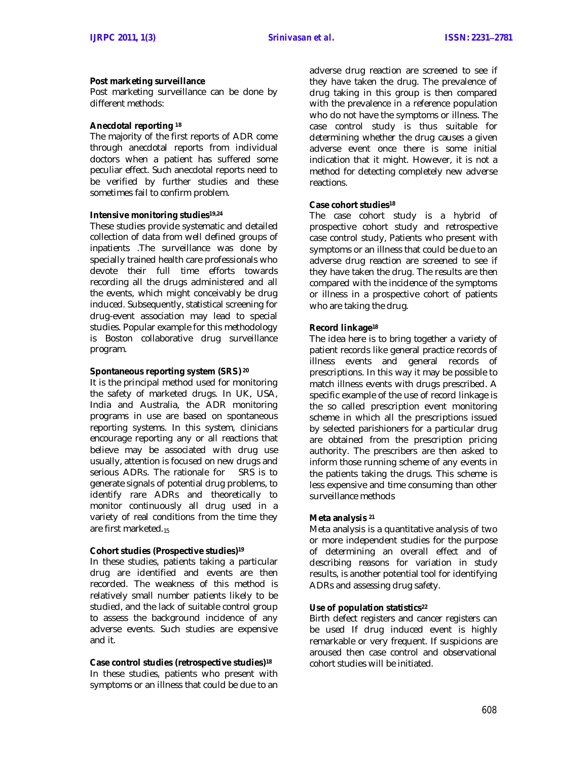#### **Post marketing surveillance**

Post marketing surveillance can be done by different methods:

#### **Anecdotal reporting <sup>18</sup>**

The majority of the first reports of ADR come through anecdotal reports from individual doctors when a patient has suffered some peculiar effect. Such anecdotal reports need to be verified by further studies and these sometimes fail to confirm problem.

#### **Intensive monitoring studies19,24**

These studies provide systematic and detailed collection of data from well defined groups of inpatients .The surveillance was done by specially trained health care professionals who devote their full time efforts towards recording all the drugs administered and all the events, which might conceivably be drug induced. Subsequently, statistical screening for drug-event association may lead to special studies. Popular example for this methodology is Boston collaborative drug surveillance program.

#### **Spontaneous reporting system (SRS) <sup>20</sup>**

It is the principal method used for monitoring the safety of marketed drugs. In UK, USA, India and Australia, the ADR monitoring programs in use are based on spontaneous reporting systems. In this system, clinicians encourage reporting any or all reactions that believe may be associated with drug use usually, attention is focused on new drugs and serious ADRs. The rationale for SRS is to generate signals of potential drug problems, to identify rare ADRs and theoretically to monitor continuously all drug used in a variety of real conditions from the time they are first marketed.<sup>15</sup>

#### **Cohort studies (Prospective studies)<sup>19</sup>**

In these studies, patients taking a particular drug are identified and events are then recorded. The weakness of this method is relatively small number patients likely to be studied, and the lack of suitable control group to assess the background incidence of any adverse events. Such studies are expensive and it.

#### **Case control studies (retrospective studies)<sup>18</sup>**

In these studies, patients who present with symptoms or an illness that could be due to an

adverse drug reaction are screened to see if they have taken the drug. The prevalence of drug taking in this group is then compared with the prevalence in a reference population who do not have the symptoms or illness. The case control study is thus suitable for determining whether the drug causes a given adverse event once there is some initial indication that it might. However, it is not a method for detecting completely new adverse reactions.

#### **Case cohort studies<sup>18</sup>**

The case cohort study is a hybrid of prospective cohort study and retrospective case control study, Patients who present with symptoms or an illness that could be due to an adverse drug reaction are screened to see if they have taken the drug. The results are then compared with the incidence of the symptoms or illness in a prospective cohort of patients who are taking the drug.

#### **Record linkage<sup>18</sup>**

The idea here is to bring together a variety of patient records like general practice records of illness events and general records of prescriptions. In this way it may be possible to match illness events with drugs prescribed. A specific example of the use of record linkage is the so called prescription event monitoring scheme in which all the prescriptions issued by selected parishioners for a particular drug are obtained from the prescription pricing authority. The prescribers are then asked to inform those running scheme of any events in the patients taking the drugs. This scheme is less expensive and time consuming than other surveillance methods

#### **Meta analysis <sup>21</sup>**

Meta analysis is a quantitative analysis of two or more independent studies for the purpose of determining an overall effect and of describing reasons for variation in study results, is another potential tool for identifying ADRs and assessing drug safety.

#### **Use of population statistics<sup>22</sup>**

Birth defect registers and cancer registers can be used If drug induced event is highly remarkable or very frequent. If suspicions are aroused then case control and observational cohort studies will be initiated.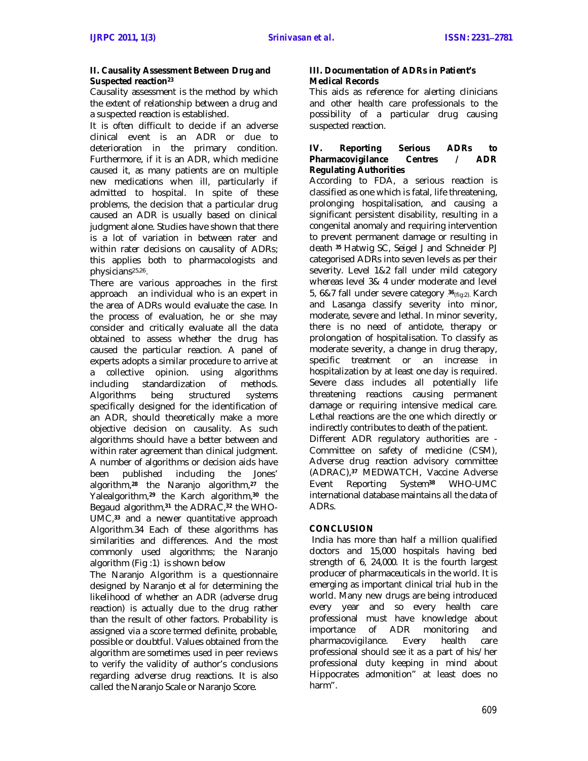#### **II. Causality Assessment Between Drug and Suspected reaction<sup>23</sup>**

Causality assessment is the method by which the extent of relationship between a drug and a suspected reaction is established.

It is often difficult to decide if an adverse clinical event is an ADR or due to deterioration in the primary condition. Furthermore, if it is an ADR, which medicine caused it, as many patients are on multiple new medications when ill, particularly if admitted to hospital. In spite of these problems, the decision that a particular drug caused an ADR is usually based on clinical judgment alone. Studies have shown that there is a lot of variation in between rater and within rater decisions on causality of ADRs; this applies both to pharmacologists and physicians25,26.

There are various approaches in the first approach an individual who is an expert in the area of ADRs would evaluate the case. In the process of evaluation, he or she may consider and critically evaluate all the data obtained to assess whether the drug has caused the particular reaction. A panel of experts adopts a similar procedure to arrive at a collective opinion. using algorithms including standardization of methods. Algorithms being structured systems specifically designed for the identification of an ADR, should theoretically make a more objective decision on causality. As such algorithms should have a better between and within rater agreement than clinical judgment. A number of algorithms or decision aids have been published including the Jones' algorithm,**<sup>28</sup>** the Naranjo algorithm,**<sup>27</sup>** the Yalealgorithm,**<sup>29</sup>** the Karch algorithm,**<sup>30</sup>** the Begaud algorithm,**<sup>31</sup>** the ADRAC,**<sup>32</sup>** the WHO-UMC,**<sup>33</sup>** and a newer quantitative approach Algorithm.34 Each of these algorithms has similarities and differences. And the most commonly used algorithms; the Naranjo algorithm (Fig :1) is shown below

The Naranjo Algorithm is a questionnaire designed by Naranjo et al *for* determining the likelihood of whether an ADR (adverse drug reaction) is actually due to the drug rather than the result of other factors. Probability is assigned via a score termed definite, probable, possible or doubtful. Values obtained from the algorithm are sometimes used in peer reviews to verify the validity of author's conclusions regarding adverse drug reactions. It is also called the Naranjo Scale or Naranjo Score.

## **III. Documentation of ADRs in Patient's Medical Records**

This aids as reference for alerting clinicians and other health care professionals to the possibility of a particular drug causing suspected reaction.

#### **IV. Reporting Serious ADRs to Pharmacovigilance** Centres / **Regulating Authorities**

According to FDA, a serious reaction is classified as one which is fatal, life threatening, prolonging hospitalisation, and causing a significant persistent disability, resulting in a congenital anomaly and requiring intervention to prevent permanent damage or resulting in death **<sup>35</sup>** Hatwig SC, Seigel J and Schneider PJ categorised ADRs into seven levels as per their severity. Level 1&2 fall under mild category whereas level 3& 4 under moderate and level 5, 6&7 fall under severe category . **<sup>36</sup>**(fig:2). Karch and Lasanga classify severity into minor, moderate, severe and lethal. In minor severity, there is no need of antidote, therapy or prolongation of hospitalisation. To classify as moderate severity, a change in drug therapy, specific treatment or an increase in hospitalization by at least one day is required. Severe class includes all potentially life threatening reactions causing permanent damage or requiring intensive medical care. Lethal reactions are the one which directly or indirectly contributes to death of the patient. Different ADR regulatory authorities are - Committee on safety of medicine (CSM), Adverse drug reaction advisory committee (ADRAC), **<sup>37</sup>** MEDWATCH, Vaccine Adverse Event Reporting System**<sup>38</sup>** WHO-UMC international database maintains all the data of ADRs.

## **CONCLUSION**

India has more than half a million qualified doctors and 15,000 hospitals having bed strength of 6, 24,000. It is the fourth largest producer of pharmaceuticals in the world. It is emerging as important clinical trial hub in the world. Many new drugs are being introduced every year and so every health care professional must have knowledge about importance of ADR monitoring and<br>pharmacovigilance. Every health care pharmacovigilance. professional should see it as a part of his/her professional duty keeping in mind about Hippocrates admonition" at least does no harm".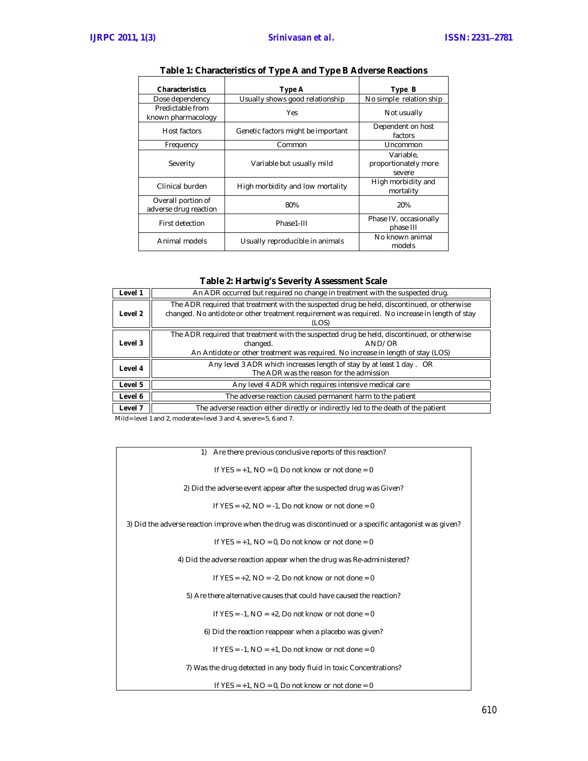| <b>Characteristics</b>                      | Type A                             | Type B                                      |
|---------------------------------------------|------------------------------------|---------------------------------------------|
| Dose dependency                             | Usually shows good relationship    | No simple relation ship                     |
| Predictable from<br>known pharmacology      | Yes                                | Not usually                                 |
| Host factors                                | Genetic factors might be important | Dependent on host<br>factors                |
| Frequency                                   | Common                             | Uncommon                                    |
| Severity                                    | Variable but usually mild          | Variable.<br>proportionately more<br>severe |
| Clinical burden                             | High morbidity and low mortality   | High morbidity and<br>mortality             |
| Overall portion of<br>adverse drug reaction | 80%                                | 20%                                         |
| First detection                             | Phase1-III                         | Phase IV, occasionally<br>phase III         |
| Animal models                               | Usually reproducible in animals    | No known animal<br>models                   |

# **Table 1: Characteristics of Type A and Type B Adverse Reactions**

| Table 2: Hartwig's Severity Assessment Scale |  |  |  |
|----------------------------------------------|--|--|--|
|----------------------------------------------|--|--|--|

| Level 1 | An ADR occurred but required no change in treatment with the suspected drug.                                                                                                                            |  |  |
|---------|---------------------------------------------------------------------------------------------------------------------------------------------------------------------------------------------------------|--|--|
| Level 2 | The ADR required that treatment with the suspected drug be held, discontinued, or otherwise<br>changed. No antidote or other treatment requirement was required. No increase in length of stay<br>(LOS) |  |  |
| Level 3 | The ADR required that treatment with the suspected drug be held, discontinued, or otherwise<br>changed.<br>AND/OR<br>An Antidote or other treatment was required. No increase in length of stay (LOS)   |  |  |
| Level 4 | Any level 3 ADR which increases length of stay by at least 1 day. OR<br>The ADR was the reason for the admission                                                                                        |  |  |
| Level 5 | Any level 4 ADR which requires intensive medical care                                                                                                                                                   |  |  |
| Level 6 | The adverse reaction caused permanent harm to the patient                                                                                                                                               |  |  |
| Level 7 | The adverse reaction either directly or indirectly led to the death of the patient                                                                                                                      |  |  |

Mild= level 1 and 2, moderate= level 3 and 4, severe= 5, 6 and 7.

| Are there previous conclusive reports of this reaction?<br>1)                                          |  |  |
|--------------------------------------------------------------------------------------------------------|--|--|
|                                                                                                        |  |  |
| If YES = $+1$ , NO = 0, Do not know or not done = 0                                                    |  |  |
| 2) Did the adverse event appear after the suspected drug was Given?                                    |  |  |
| If $YES = +2$ , $NO = -1$ , Do not know or not done = 0                                                |  |  |
| 3) Did the adverse reaction improve when the drug was discontinued or a specific antagonist was given? |  |  |
| If $YES = +1$ , $NO = 0$ , Do not know or not done = 0                                                 |  |  |
| 4) Did the adverse reaction appear when the drug was Re-administered?                                  |  |  |
| If $YES = +2$ , $NO = -2$ , Do not know or not done = 0                                                |  |  |
| 5) Are there alternative causes that could have caused the reaction?                                   |  |  |
| If YES = $-1$ , NO = $+2$ , Do not know or not done = 0                                                |  |  |
| 6) Did the reaction reappear when a placebo was given?                                                 |  |  |
| If YES = $-1$ , NO = $+1$ , Do not know or not done = 0                                                |  |  |
| 7) Was the drug detected in any body fluid in toxic Concentrations?                                    |  |  |

If  $YES = +1$ ,  $NO = 0$ , Do not know or not done  $= 0$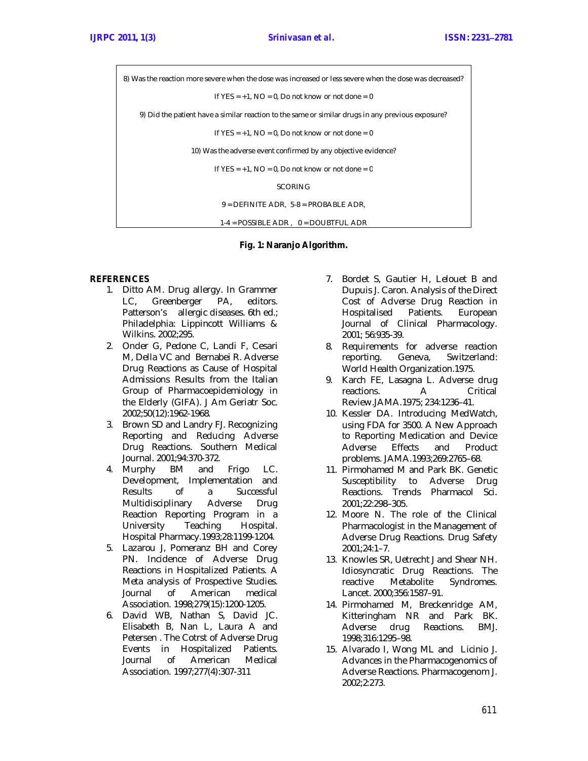8) Was the reaction more severe when the dose was increased or less severe when the dose was decreased? If  $YES = +1$ ,  $NO = 0$ , Do not know or not done = 0 9) Did the patient have a similar reaction to the same or similar drugs in any previous exposure? If  $YES = +1$ ,  $NO = 0$ , Do not know or not done = 0 10) Was the adverse event confirmed by any objective evidence? If  $YES = +1$ ,  $NO = 0$ , Do not know or not done = 0 SCORING 9 = DEFINITE ADR, 5-8 = PROBABLE ADR, 1-4 = POSSIBLE ADR , 0 = DOUBTFUL ADR

**Fig. 1: Naranjo Algorithm.**

## **REFERENCES**

- 1. Ditto AM. Drug allergy. In Grammer LC, Greenberger PA, editors. Patterson's allergic diseases. 6th ed.; Philadelphia: Lippincott Williams & Wilkins. 2002;295.
- 2. Onder G, Pedone C, Landi F, Cesari M, Della VC and Bernabei R. Adverse Drug Reactions as Cause of Hospital Admissions Results from the Italian Group of Pharmacoepidemiology in the Elderly (GIFA). J Am Geriatr Soc. 2002;50(12):1962-1968.
- 3. Brown SD and Landry FJ. Recognizing Reporting and Reducing Adverse Drug Reactions. Southern Medical Journal. 2001;94:370-372.
- 4. Murphy BM and Frigo LC. Development, Implementation and Results of a Successful Multidisciplinary Adverse Drug Reaction Reporting Program in a University Teaching Hospital. Hospital Pharmacy.1993;28:1199-1204.
- 5. Lazarou J, Pomeranz BH and Corey PN. Incidence of Adverse Drug Reactions in Hospitalized Patients. A Meta analysis of Prospective Studies.<br>Journal of American medical Journal of American medical Association. 1998;279(15):1200-1205.
- 6. David WB, Nathan S, David JC. Elisabeth B, Nan L, Laura A and Petersen . The Cotrst of Adverse Drug Events in Hospitalized Patients. Journal of American Medical Association. 1997;277(4):307-311
- 7. Bordet S, Gautier H, Lelouet B and Dupuis J. Caron. Analysis of the Direct Cost of Adverse Drug Reaction in Hospitalised Patients. European Journal of Clinical Pharmacology. 2001; 56:935-39.
- 8. Requirements for adverse reaction reporting. Geneva, Switzerland: World Health Organization.1975.
- 9. Karch FE, Lasagna L. Adverse drug reactions. A Critical Review.JAMA.1975; 234:1236–41.
- 10. Kessler DA. Introducing MedWatch, using FDA for 3500. A New Approach to Reporting Medication and Device Adverse Effects and Product problems. JAMA.1993;269:2765–68.
- 11. Pirmohamed M and Park BK. Genetic Susceptibility to Adverse Drug Reactions. Trends Pharmacol Sci. 2001;22:298–305.
- 12. Moore N. The role of the Clinical Pharmacologist in the Management of Adverse Drug Reactions. Drug Safety 2001;24:1–7.
- 13. Knowles SR, Uetrecht J and Shear NH. Idiosyncratic Drug Reactions. The<br>reactive Metabolite Syndromes. Syndromes. Lancet. 2000;356:1587–91.
- 14. Pirmohamed M, Breckenridge AM, Kitteringham NR and Park BK. Adverse drug Reactions. BMJ. 1998;316:1295–98.
- 15. Alvarado I, Wong ML and Licinio J. Advances in the Pharmacogenomics of Adverse Reactions. Pharmacogenom J. 2002;2:273.